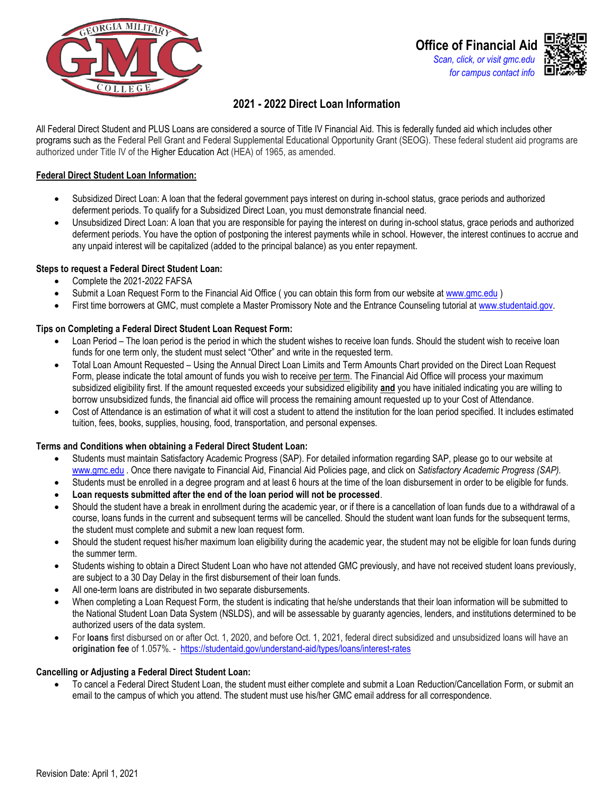



# **2021 - 2022 Direct Loan Information**

All Federal Direct Student and PLUS Loans are considered a source of Title IV Financial Aid. This is federally funded aid which includes other programs such as the Federal Pell Grant and Federal Supplemental Educational Opportunity Grant (SEOG). These federal student aid programs are authorized under Title IV of the Higher Education Act (HEA) of 1965, as amended.

# **Federal Direct Student Loan Information:**

- Subsidized Direct Loan: A loan that the federal government pays interest on during in-school status, grace periods and authorized deferment periods. To qualify for a Subsidized Direct Loan, you must demonstrate financial need.
- Unsubsidized Direct Loan: A loan that you are responsible for paying the interest on during in-school status, grace periods and authorized deferment periods. You have the option of postponing the interest payments while in school. However, the interest continues to accrue and any unpaid interest will be capitalized (added to the principal balance) as you enter repayment.

# **Steps to request a Federal Direct Student Loan:**

- Complete the 2021-2022 FAFSA
- Submit a Loan Request Form to the Financial Aid Office (you can obtain this form from our website at www.gmc.edu)
- First time borrowers at GMC, must complete a Master Promissory Note and the Entrance Counseling tutorial at [www.studentaid.gov.](http://www.studentaid.gov/)

# **Tips on Completing a Federal Direct Student Loan Request Form:**

- Loan Period The loan period is the period in which the student wishes to receive loan funds. Should the student wish to receive loan funds for one term only, the student must select "Other" and write in the requested term.
- Total Loan Amount Requested Using the Annual Direct Loan Limits and Term Amounts Chart provided on the Direct Loan Request Form, please indicate the total amount of funds you wish to receive per term. The Financial Aid Office will process your maximum subsidized eligibility first. If the amount requested exceeds your subsidized eligibility **and** you have initialed indicating you are willing to borrow unsubsidized funds, the financial aid office will process the remaining amount requested up to your Cost of Attendance*.*
- Cost of Attendance is an estimation of what it will cost a student to attend the institution for the loan period specified. It includes estimated tuition, fees, books, supplies, housing, food, transportation, and personal expenses.

## **Terms and Conditions when obtaining a Federal Direct Student Loan:**

- Students must maintain Satisfactory Academic Progress (SAP). For detailed information regarding SAP, please go to our website at [www.gmc.edu .](http://www.gmc.edu/) Once there navigate to Financial Aid, Financial Aid Policies page, and click on *Satisfactory Academic Progress (SAP).*
- Students must be enrolled in a degree program and at least 6 hours at the time of the loan disbursement in order to be eligible for funds.
- **Loan requests submitted after the end of the loan period will not be processed**.
- Should the student have a break in enrollment during the academic year, or if there is a cancellation of loan funds due to a withdrawal of a course, loans funds in the current and subsequent terms will be cancelled. Should the student want loan funds for the subsequent terms, the student must complete and submit a new loan request form.
- Should the student request his/her maximum loan eligibility during the academic year, the student may not be eligible for loan funds during the summer term.
- Students wishing to obtain a Direct Student Loan who have not attended GMC previously, and have not received student loans previously, are subject to a 30 Day Delay in the first disbursement of their loan funds.
- All one-term loans are distributed in two separate disbursements.
- When completing a Loan Request Form, the student is indicating that he/she understands that their loan information will be submitted to the National Student Loan Data System (NSLDS), and will be assessable by guaranty agencies, lenders, and institutions determined to be authorized users of the data system.
- For **loans** first disbursed on or after Oct. 1, 2020, and before Oct. 1, 2021, federal direct subsidized and unsubsidized loans will have an **origination fee** of 1.057%. -<https://studentaid.gov/understand-aid/types/loans/interest-rates>

## **Cancelling or Adjusting a Federal Direct Student Loan:**

• To cancel a Federal Direct Student Loan, the student must either complete and submit a Loan Reduction/Cancellation Form, or submit an email to the campus of which you attend. The student must use his/her GMC email address for all correspondence.